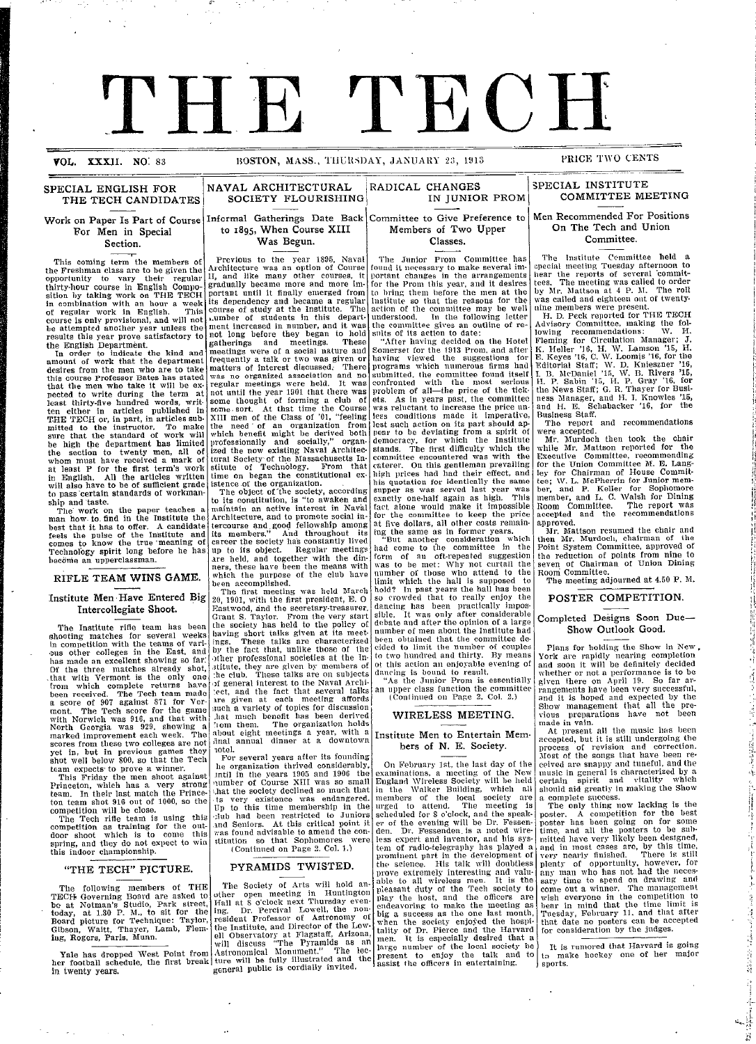THE **TECH** *<sup>I</sup>*- - - \_\_\_ -

VOL. XXXII. NO. 83 BOSTON, MASS., THURSDAY, JANUARY 23, 1913

#### SPECIAL ENGLISH FOR THE TECH CANDIDATES

Work on Paper Is Part of Course For Men in Special Section.

This coming term the members of the Freshman class are to be given the opportunity to vary their regular thirty-hour course in English Composition by taking work on THE TECH in conlbination with an hour a week of regular work in English. This course is only provisional, and will not be attempted another year unless the results this year prove satisfactory to

the English Department. In order to indicate the kind and amount of work that the department desires from the men who are to take this course Professor Bates has stated that the men who take it will be ex-pected to write during the term at least thirty-five hundred words, writ-<br>ten either in articles published in<br>THE TECH or, in part, in articles sub-<br>mitted to the instructor. To make<br>sure that the standard of work will<br>be high the department has limited the section to twenty men, all of whom must have received a mark of at least P for the first term's work in English. All the articles written will also have to be of sufficient grade to pass certain standards of workman-ship and taste.

The work on the paper teaches a man how. to. find in the Institute the best that it has to offer. A candidate feels the pulse of the Institute and comes to know the true meaning of Technology spirit long before he has become an upperclassman.

#### RIFLE TEAM WINS GAME.

#### Institute Men Have Entered Big Intercollegiate Shoot.

The Institute rifle team has been shooting matches for several weeks In competition with the teams of vari ous other colleges in the East, and has made an excellent showing so far: Of the three matches already shot,<br>that with Vermont is the only one<br>from which complete returns have been received. The Tech team made<br>a score of 907 against 871 for Vermont. The Tech score for the game<br>with Norwich was 916, and that with<br>North Georgia was 929, showing a<br>marked improvement each week. The<br>scores from these two colleges are not yet in, but in previous games they shot well below 800, so that the Tech

team expects; to prove a winner. This Friday the men shoot against Princeton, which has a very strong team. In their last match the Prince-ton team shot 916 out of 1000, so the

competition will be close. The Tech rifle team is using this competition as training for the outdoor shoot which is to come this spring, and they do not expect to win this indoor championship.

#### "THE TECH" PICTURE.

following members of THE TECH: Governing Board are asked to<br>be at Notman's Studio, Park street,<br>today, at 1.30 P. M., to sit for the Board picture for Technique: Taylor Gibson, Waitt, Thayer, Lamb, Flem ing, Rogers, Paris, Munn.

Yale has dropped 'West Point fron her football schedule, the first breal in twenty years.

## NAVAL ARCHITECTURAL RADICAL CHANGES VAL ARCHITECTURAL RADICAL CHANGES<br>SOCIETY FLOURISHING IN JUNIOR PROM

to 1895, When Course XIII Members of Two Was Begun. Was Begun.

Previous to the year 1895, Naval Architecture was an option of Course II, and like many other courses, it gradually became more and more important until it finally emerged from its dependency and became a regular<br>course of study at the Institute. The<br>Lumber of students in this depart-<br>ment increased in number, and it was not long before they began to hold gatherings and meetings. These meetings were of a social nature and frequently a talk or two was given or matters of interest discussed. There was no organized association and no regular meetings were held. It was not until the year 1901 that there was some thought of forming a club of some- sort. At that time the Course XIII men of the Class of '01, "feeling<br>the need of an organization from<br>which benefit might be derived both pirofessionally and socially," organ-ized the now existing Naval Architec-tural Society- of the Massachusetts In-stitute of Technblogy. From that I

time on began the constitutional existence of the organization.<br>The object of the society, according<br>to its constitution, is "to awaken and<br>maintain an active interest in Naval Architecture, and to promote social in-tercourse and good fellowship among its members." And throughout its career the society Ilas constantly lived up to its object. Regular meetings are held, and together with the din-ners, these have been the means with which the purpose of the club have been accomplished.

The first meeting was held March 20, 1901, with the first president, E. O Eastwood, and the secretary-treasurer, Grant S. Taylor. From the very start the society has held to the policy of Ihaving short talks given at its meetings. These talks are characterized by the fact that, unlike those of the other professional societies at the Institute, they are given by members of the club. These talks are on subjects of general interest to the Naval Archi- 'ect, and the fact that several talks ire given at each meeting affords .:uch a variety of topics for discussion ,hat much benefit has been derived l ioom them. The organization holds about eight meetings a year, with a ;inal annual dinner at a downtown  $\frac{1}{\sqrt{2}}$  notel.

For several years after its founding he organization thrived considerably,<br>
intil in the years 1905 and 1906 the<br>
"hat the society declined so much that<br>
"ts very existence was endangered.<br>
To to this time membership in the 3-lub had been restricted to Juniors and Seniors. At this critical point it ras found advisable to amend the con- ;titution so that Sophomores were (Continued on Page 2. Col. 1.)

#### PYRAMIDS TWISTED.

The Society of Arts will hold another open meeting in Huntington Hall at S o'clock next Thursday even-eing. Dr. Percival Lownell, the nonresident Professor of Astronomy of the Institute, and Director of the Low-<br>ell Observatory at Flagstaff, Arizona<br>will discuss "The Pyramids as an Astronomical Monument." The lecture will be fully illustrated and the general public is cordially invited.

Informal Gatherings Date Back Committee to Give Preference to to 1895, When Course XIII Members of Two Upper The Junior Prom Committee has found it necessary to make several im-portant changes in the arrangements I

for the Prom this year, and it desires  $t$ to bring them before the men at the  $|b|$ Institute so that the reasons for the action of the committee may be well understood. In the following letter the committee gives an outline of re-suits of its action to date:

"After having decided on the Hotel Somerset for the 1913 Prom, and after having viewed the suggestions for programs which numerous firms had submitted, the committee found itself confronted with the most serious problem of all-the price of the tickets. As in years past, the committee was reluctant to increase the price unless conditions made it imperative, lest such action on its part should ap-pear to be deviating from a spirit of democracy, for which the Institute stands. The first difficulty which the committee encountered was with the caterer. On this gentleman prevailing high prices had had their effect, and his quotation for identically the same supper as was served last year was exactly one-half again as high. This<br>fact alone would make it impossible<br>for the committee to keep the price at five dollars, all other costs remain-

ing the same as in former years. "But another consideration which had come to t'he committee **in** the form of an oft-repeated suggestion<br>was to be met: Why not curtail the number of those who attend to the limit which the hall is supposed to hold? In past years the hall has been so crowded that to really enljoy the dancing has been practically impossible. It was only after considerable<br>debate and after the opinion of a large<br>number of men about the Institute had<br>been obtained that the committee de-<br>cided to limit the number of couple to two hundred and thirty. By means ot this action an enjoyable evening of dancing is **bound** to result.

"As the Junior Prom is essentially an upper class function the committee<br>(Continued on Page 2, Col. 2.)

#### WIRELESS MEETING.

#### Institute Men to Entertain Members of N. E. Society.

On February 1st, the last day of the examinations, a meeting of the New<br>England Wireless Society will be held in the Walker Building, which all<br>members of the local society are<br>urged to attend. The meeting is scheduled for 8 o'clock, and the speaker of the evening will be Dr. Fessenden. Dr. Fessenden. is a noted wire-less expert and inventor, and his sys-tem of radio-telegraphy has played a prominent part in the development of the science. His talk will doubtless prove extremely interesting and valu-able to all wireless men. It is the pleasant duty of the Tech society to play the host, and the officers are endeavoring to make the meeting as big a success as the one last month when the society enjoyed the hospitality of Dr. Pierce and the Harvard<br>men. It is especially desired that a large number of the local society be present to enjoy the talk and to assist the officers in entertaining.

#### SPECIAL INSTITUTE COMMITTEE MEETING

#### Men Recommended For Positions On The Tech and Union Committee.

The Institute Committee held a ;pecial meeting Tuesday afternoon to iear the reports of several commit- ees. The meeting was called to order The Institute Committee held a<br>pecial meeting Tuesday afternoon to<br>near the reports of several commit-<br>cees. The meeting was called to order<br>by Mr. Mattson at 4 P. M. The roll FIGRE TWO CENTS<br>
PECIAL INSTITUTE<br>
COMMITTEE MEETING<br>
Men Recommended For Positions<br>
On The Tech and Union<br>
On The Tech and Union<br>
Committee.<br>
The Institute Committee held a<br>
reces. The meeting was called to order<br>
yes. Th cial meet

by Mr. Mattson at 4 P. M. The roll<br>was called and eighteen out of twenty-<br>nine members were present.<br>H. D. Peck reported for THE TECH<br>Advisory Committee, making the fol-<br>lowing recommendations: W. H.<br>Fleming for Circulatio K. Heller '16, H. W. Lamson '15, H. E. Keyes '16, C. xV. Loomis '16, for the Editorial Staff; W. D. **Knieszner '16,** I. B. lMcDaniel '15, W. B. Rivers '15, HI. P. Sabin '15, H. P. Gray '16, for the News Staff; G. R. Thayer for Business Manager, and H. I. Knowles '15,<br>and H. E. Schabacker '16, for the was calle<br>aine men<br>H. D. l<br>Advisory<br>lowing<br>Fleming **EXECT THE STAFF OF THE STAFF OR THE STAFF OR STAFF OR STAFF OR STAFF OR STAFF OR STAFF OR STAFF OR STAFF OR STAFF OR STAFF OR STAFF OR STAFF OR STAFF OR STAFF OR STAFF OR STAFF OR STAFF OR STAFF OR STAFF OR STAFF OR STAFF** Ũ **PRICE TWO CENTS**<br>
PECIAL INSTITUTE<br>
COMMITTEE MEETING<br>
PECIAL INSTITUTE<br>
COMMITTEE MEETING<br>
An Recommended For Positions<br>
On The Tech and Union<br>
Committee.<br>
The Institute Cemmittee held a<br>
nearest The need and the result **EXECTAL IN**<br> **EXECTAL IN**<br> **EXECTAL IN**<br> **COMM**<br> **COMM**<br> **COMM**<br> **COMM**<br> **COMM**<br> **COMM**<br> **COMM**<br> **COMM**<br> **COMM**<br> **COMM**<br> **COMM**<br> **COMM**<br> **COMM**<br> **COMM**<br> **COMM**<br> **COMM**<br> **COMM**<br> **COMM**<br> **COMM**<br> **COMM**<br> **COMM**<br> **COMM**<br> **COM Example 12**<br> **Example 20**<br> **And BEAT COMMITT!**<br> **And Recommende On The Tech**<br> **Comming the approximation**<br>
The Institute Commin<br>
The Institute Comming<br>
The Institute Cenes of<br>
ees. The meeting Tues<br>
was called and eight<br> **EXERECT AND THE STATE STATE STATES (SCREED)**<br> **EXECUTE COMMITTEE MEETING**<br> **COMMITTEE MEETING**<br> **COMMITTEE MEETING**<br> **COMMITTEE MEETING**<br> **COMMITTEE MEETING**<br> **COMMITTEE MEETING**<br> **PR** Institute committee held<br>
are relig FIRICE TWO CENTS<br>
FELOMERATIVITE COMMITTEE MEETING<br>
FELOMERATIVITE COMMITTEE MEETING<br>
FELOMERATIVITE COMMITTEE MEETING<br>
(In Recommended For Positions<br>
Committee.<br>
The Institute Committee.<br>
The Institute Committee.<br>
The Ins FIRICE TWO CENTS<br>
PEICE TWO CENTS<br>
PEICELAL INSTITUTE COMMITTEE MEETING<br>
FIRICAL INSTITUTE COMMITTEE MEETING<br>
ten Recommended For Positions<br>
On The Tech and Union<br>
Committee.<br>
The Institute Committee below<br>
are the report **EXECUTE: THE CONFIDENTIFY CONTINUES.**<br> **PRICE TWO CENTS**<br> **PRICE TREE MEETING COMMITTEE MEETING**<br> **COMMITTEE MEETING**<br> **COMMITTEE MEETING**<br> **COMMITTEE MEETING**<br> **COMMITTEE MERING TREE TREE TREE INSTERIES (INCREDIT THE THE** FIRE THE TRIST THE REAL TRIST THE REAL TRIST THE COMMITMENT COMMITMED COMMITME COMMITME COMMITME METHOM COMMITME METHOM COMMITME THE UNIVERSITY OF THE UNIVERSITY THE UNIVERSITY THE UNIVERSITY OF THE UNIVERSITY OF THE UNIV **EVALUATION CONTRACT CONSUMERED (SEE THE SEE THE SEE THE SEE THE SEE THE SEE THE SEE THE SEE THE SEE THE SEE THE SEE THE SEE THE SEE THE SEE THE SEE THE SEE THE SEE THE SEE THE SEE THE SEE THE SEE THE SEE THE SEE THE SEE EVALUATION CONTRAY**<br> **EVALUATION**<br> **EVALUATION**<br> **EVALUATION**<br> **EVALUATION**<br> **EVALUATION**<br> **COMMITTEE MEETING**<br> **COMMITTEE MEETING**<br> **COMMITTEE MEETING**<br> **COMMITTEE MEETING**<br> **COMMITTEE MEETING**<br>
The Institute Committee. **EVALUATIVE THE SECTEST THE SECTEST THE SECTED AND THE SECTED AND THE SECTED AND THE SECTED AND THE SECTED AND THE SECTED AND THE SECTED THE INSTANCE CONDITION BY THE MANAGEMENT CONDITION WITH PROPERTIES AND THE SECTED AN** 

Business Staff.

The report and recommendations<br>were accepted.<br>Mr. Murdoch then took the chair<br>while Mr. Mattson reported for the<br>Executive Committee, recommending<br>for the Union Committee M. E. Langley for Chairman of House Commit-tee; \V. L. McPherrin for Junior mem- ber, and P. Keller for Sophomore member, and L. C. Walsh for Dining Room Committee. The report was accepted and the recommendations ley for<br>tee; W.<br>ber, and<br>member. ted

approved. Mr. Mattson resumed the chair and then Mr. Murdoch, chairman of the Point System Committee, approved of the reduction of points from nine to seven of Chairman of Union Dining Room Committee. Mr.<br>
then<br>
Point<br>
the resern

The meeting adjourned at 4.50 P. M. The

POSTER COMPETITION. POSTER

#### Completed Designs Soon Due- Show Outlook Good.

Plans for holding the Show in New, York are rapidly nearing completion and soon it will be definitely decided<br>whether or not a performance is to be<br>given there on April 19. So far ar-<br>rangements have been very successful,<br>and it is hoped and expected by the<br>Show management that all the previous preparations have not been made in vain. ......<br>ether rangements<br>and it is h<br>Show mana vious

At present all the music has been accepted, but it is still undergoing the At process of revision and correction.<br>Most of the songs that have been re-<br>ceived are snappy and tuneful, and the music in general is characterized by a certain spirit and vitality which should aid greatly in making the Show accepted, .<br>Ed

a complete success. The only thing now lacking is the poster. A competition for the best poster has been going on for some<br>time, and all the posters to be sub-<br>mitted have very likely been designed,<br>and in most cases are, by this time,<br>very nearly finished. There is still plenty of opportunity, however, for any manl who has not had the neces- sary time to spend on drawing and come out a winner. The management wish everyone in the competition to bear in mind that the time limit is Tuesday, February 11. and that after that date no posters can be accepted for consideration by the judges. The mitted<br>and in<br>very n sary **EVALUATION CONTRACT CONTRACT CONTRACT (CONTRACT)**<br> **EVALUATION CONTRACT CONTRACT CONTRACT CONTRACT CONTRACT CONTRACT CONTRACT CONTRACT CONTRACT CONTRACT CONTRACT CONTRACT CONTRACT CONTRACT CONTRACT CONTRACT CONTRACT CONT FREE CONSULTS (THE SEARCH AFTER SEARCH AFTER SEARCH AFTER SEARCH AND SEARCH AFTER SEARCH AFTER SEARCH AFTER SEARCH AFTER SEARCH AFTER THE SEARCH AFTER THE SEARCH AFTER THE SEARCH AFTER THE SEARCH AFTER THE SEARCH AFTER T EXERCT 20** (The state of the state of the state of the state of the state of the state of the state of the state of the state of the state of the state of the state of the state of the state of the state of the state of **EXERECT CONSULTS (THE CONSULTS)**<br> **FRICE TWO CENTS**<br> **EXECTAL INSTITUTE COMMITTEE MEETING**<br> **FRICE TWO CENTS**<br> **FRICE TWO CENTS**<br> **CONSULTS (THE INTERFERENT PRICE AND THE INTERFERENT ON THE UNIT CONSULTS (TO THE INSTITUT** 

It is rumored that Harvard is going It to make hockey one of her major sports.

清理

Ä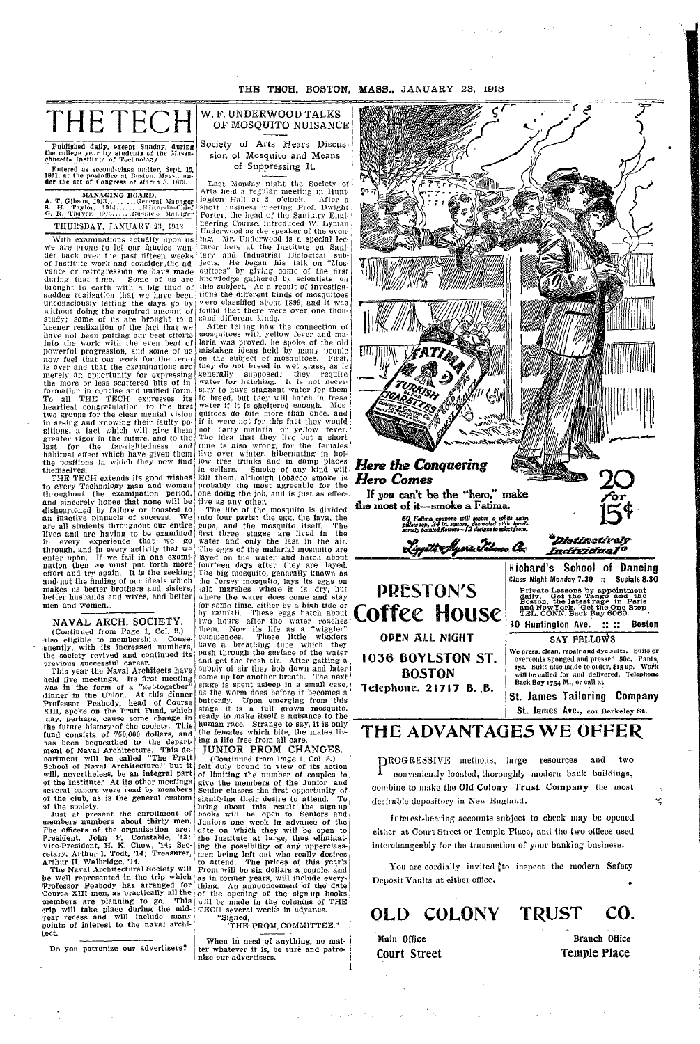THE THOH. BOSTON, MASS., JANUARY 23, 1913

## THE TEC

Published daily, except Sunday, during<br>the college year by students of the Massa-<br>chusetts Institute of Technology

Entered as second-class matter, Sept. 15, 1911, at the postoffice at Boston, Mass., under the act of Congress of March 3, 1879.

THURSDAY, JANUARY 23, 1913

THURSDAY, JANUARY 23, 1913<br>
With examinations actually upon us<br>
we are prone to let our fancies wan-<br>
der back over the past fifteen weeks<br>
of natitute work and consider the ad-<br>
vance cr retrogression we have made<br>
durin nowerful progression, and some of us<br>now feel that our work for the term<br>is over and that the examinations are is over and that the examinations are<br>is over and that the examinations are<br>the more or less scattered bits of in-<br>formation in concise and unified form.<br>To all THE TECH expresses its<br>heartiest congratulation, to the first refluences.<br>THE TECH extends its good wishes

THE TECH extends its good wishes<br>to every Technology man and woman<br>throughout the examination period,<br>and sincerely hopes that none will be<br>disheartened by fallure or boosted to<br>an inactive pinnacle of success. We<br>are all lives and are having to be examined<br>in every experience that we go<br>through, and in every activity that we<br>enter upon. If we fail in one exami-<br>ration then we must put forth more<br>effort and try again. It is the seeking<br>andmen and women.

#### NAVAL ARCH. SOCIETY.

NAVAL ARCH. SOCIETY.<br>
(Continued from Page 1, Col. 2.)<br>
also eligible to membership. Conse-<br>
quently, with its increased numbers,<br>
the society revived and continued its<br>
previous successful career.<br>
This year the Naval Arc

of the club, as is the general custom<br>of the club, as is the general custom<br>of the society.<br>Iust at present the enrollment of<br>members numbers about thirty men.<br>President, John P. Constable, '13;<br>Vice-President, H. K. Chow,

Do you patronize our advertisers?

#### W. F. UNDERWOOD TALKS OF MOSOUITO NUISANCE

Society of Arts Hears Discussion of Mosquito and Means of Suppressing It

or Suppressing 11.<br>
Last Monday might the Society of<br>
Arts held a regular meeting in Hunt<br>
ington Hall at S o'clock. After a<br>
short husiness meeting Prof. Dwight<br>
Porter, the head of the Sanitary Engl-<br>
heering Course, int

sand different kinds.<br>
After telling how the connection of<br>
mosquitoes with yellow fever and ma-<br>
daria was proved, he spoke of the old<br>
mistaken ideas held by many people<br>
on the subject of mosquitoes. First,<br>
they do not they do not breed in wet grass, as is<br>generally supposed; they require<br>water for hatching. It is not neces-<br>say to have stagnant water for them<br>to breed, but they will hatch in fresh<br>water if it is sheltered enough. Mos-<br>q in cellars. Smoke of any kind will<br>kill them, although tobacco smoke is Finally the most agreeable for the<br>one doing the job, and is just as effec-<br>tive as any other.<br>The life of the mosquito is divided

The first of the exist the egg, the laws, the<br>pupa, and the mosquito itself. The<br>first three stages are lived in the<br>water and only the last in the air. water and only the last in the air,<br>The eggs of the malarial mosquito are<br>laved on the water and hatch about<br>fourteen days after they are layed.<br>The big mosquito, generally known as<br>the Jersey mosquito, lays its eggs on<br>al pass income and get the fresh air. After getting a<br>and get the fresh air. After getting a<br>supply of air they bob down and later<br>come up for another breath. The next<br>stage is spent asleep in a small case, stage is spent asleep in a small case,<br>as the worm does before it becomes a<br>butterfly. Upon emerging from this<br>stage it is a full grown mosquito,<br>ready to make itself a nuisance to the<br>human race. Strange to say, it is onl

# **JUNIOR PROM CHANGES.** JUNIUK PRUM UTHANGES.<br>
(Continued from Page 1, Col. 3.)<br>
felt duly bound in view of its action<br>
of limiting the number of couples to<br>
give the members of the Junior and<br>
Senior classes the first opportunity of<br>  $\frac{1}{2}$

Senior classes the first opportunity of<br>signifying their desire to attend. To<br>broke will be open to Seniors and<br>books will be open to Seniors and<br>duniors one week in advance of the<br>dute on which they will be open to<br>the In

"Signed THE PROM COMMITTEE."

When in need of anything, no matter whatever it is, be sure and patro-<br>nize our advertisers.



### THE ADVANTAGES WE OFFER

PROGRESSIVE methods, large resources and two conveniently located, thoroughly modern bank buildings, combine to make the Old Colony Trust Company the most desirable depository in New England.

Interest-bearing accounts subject to check may be opened either at Court Street or Temple Place, and the two offices used interchangeably for the transaction of your banking business.

You are cordially invited ito inspect the modern Safety Deposit Vaults at either office.

**TRUST** CO. OLD COLONY

Main Office Court Street

Branch Office Temple Place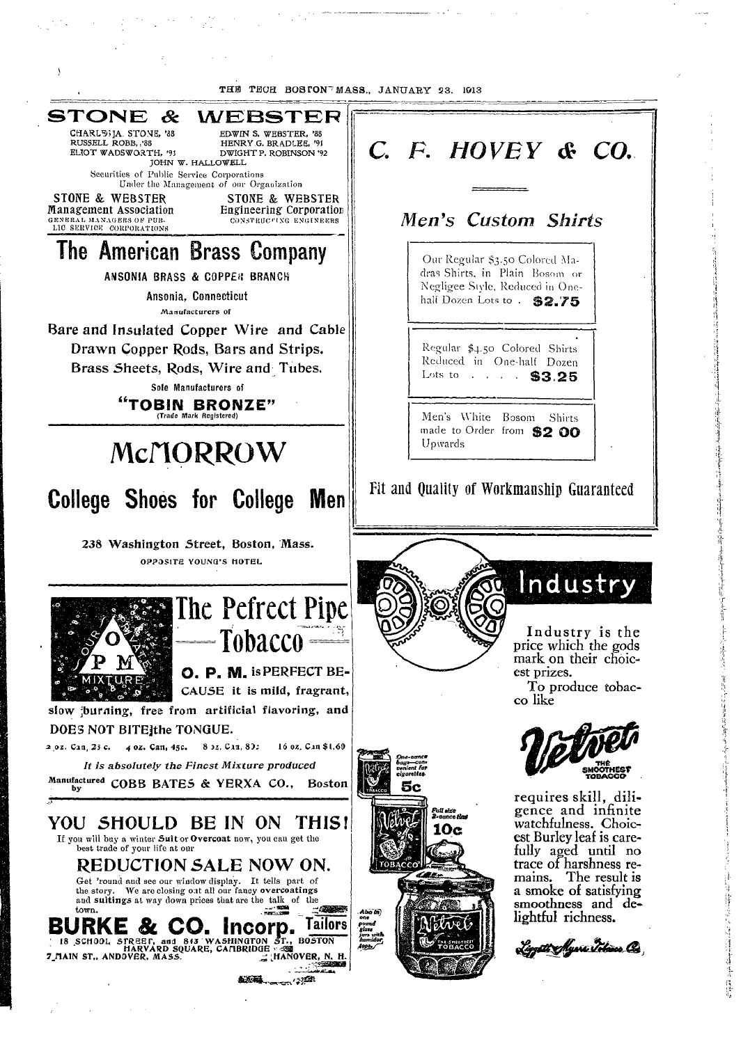

你选择我这个 报纸经行性随着接受情感情 医牙

医腰椎骨 计可分布 医慢性震颤 医骨质 医骨折

I